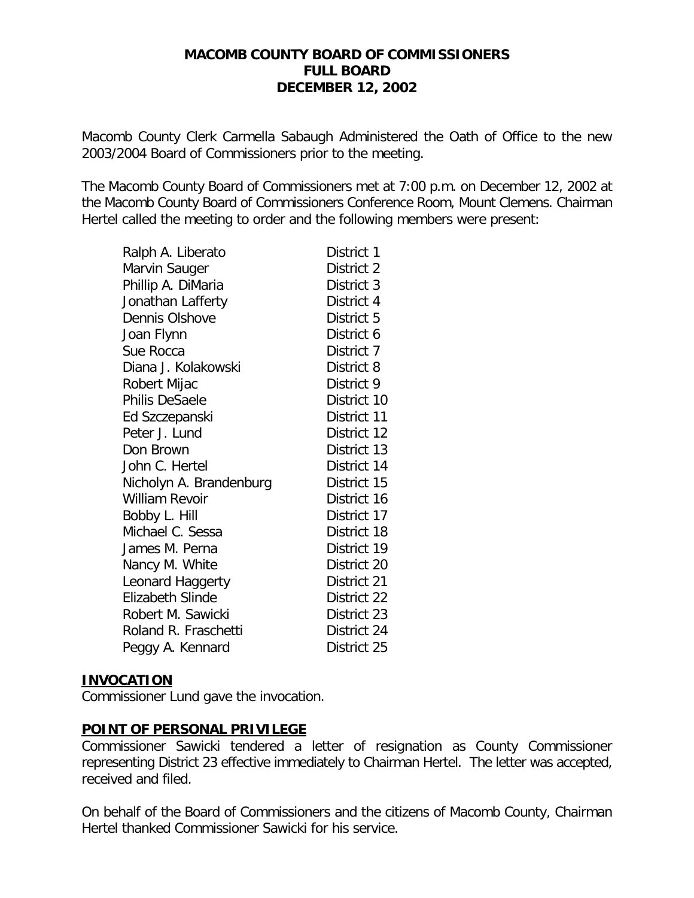#### **MACOMB COUNTY BOARD OF COMMISSIONERS FULL BOARD DECEMBER 12, 2002**

*Macomb County Clerk Carmella Sabaugh Administered the Oath of Office to the new 2003/2004 Board of Commissioners prior to the meeting.*

The Macomb County Board of Commissioners met at 7:00 p.m. on December 12, 2002 at the Macomb County Board of Commissioners Conference Room, Mount Clemens. Chairman Hertel called the meeting to order and the following members were present:

| Ralph A. Liberato       | District 1  |
|-------------------------|-------------|
| Marvin Sauger           | District 2  |
| Phillip A. DiMaria      | District 3  |
| Jonathan Lafferty       | District 4  |
| Dennis Olshove          | District 5  |
| Joan Flynn              | District 6  |
| Sue Rocca               | District 7  |
| Diana J. Kolakowski     | District 8  |
| Robert Mijac            | District 9  |
| Philis DeSaele          | District 10 |
| Ed Szczepanski          | District 11 |
| Peter J. Lund           | District 12 |
| Don Brown               | District 13 |
| John C. Hertel          | District 14 |
| Nicholyn A. Brandenburg | District 15 |
| William Revoir          | District 16 |
| Bobby L. Hill           | District 17 |
| Michael C. Sessa        | District 18 |
| James M. Perna          | District 19 |
| Nancy M. White          | District 20 |
| Leonard Haggerty        | District 21 |
| <b>Elizabeth Slinde</b> | District 22 |
| Robert M. Sawicki       | District 23 |
| Roland R. Fraschetti    | District 24 |
| Peggy A. Kennard        | District 25 |

#### **INVOCATION**

Commissioner Lund gave the invocation.

#### **POINT OF PERSONAL PRIVILEGE**

Commissioner Sawicki tendered a letter of resignation as County Commissioner representing District 23 effective immediately to Chairman Hertel. The letter was accepted, received and filed.

On behalf of the Board of Commissioners and the citizens of Macomb County, Chairman Hertel thanked Commissioner Sawicki for his service.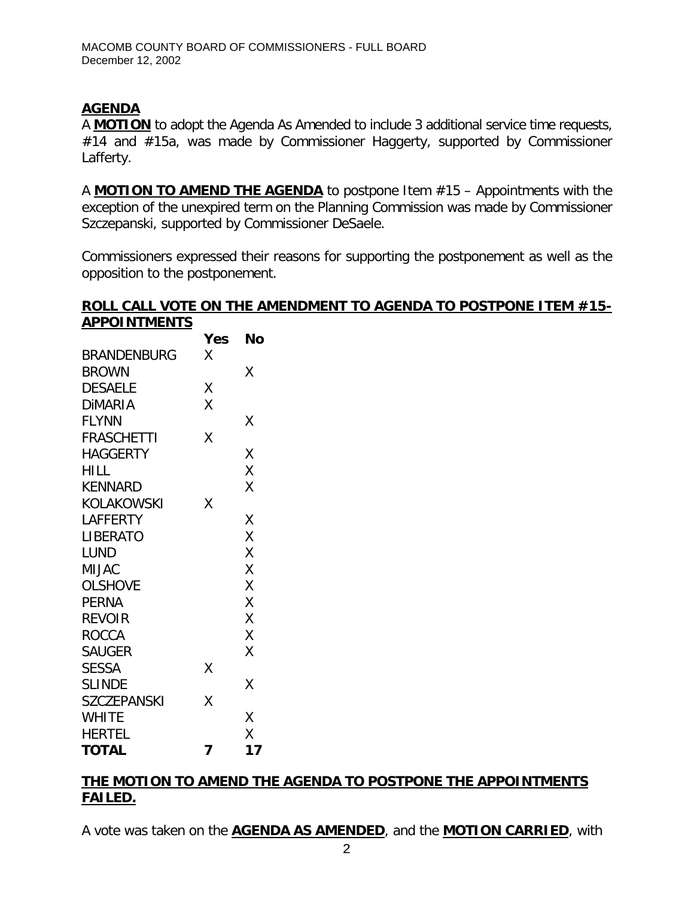# **AGENDA**

A **MOTION** to adopt the Agenda As Amended to include 3 additional service time requests, #14 and #15a, was made by Commissioner Haggerty, supported by Commissioner Lafferty.

A **MOTION TO AMEND THE AGENDA** to postpone Item #15 – Appointments with the exception of the unexpired term on the Planning Commission was made by Commissioner Szczepanski, supported by Commissioner DeSaele.

Commissioners expressed their reasons for supporting the postponement as well as the opposition to the postponement.

#### **ROLL CALL VOTE ON THE AMENDMENT TO AGENDA TO POSTPONE ITEM #15- APPOINTMENTS**

|                    | Yes | No |
|--------------------|-----|----|
| <b>BRANDENBURG</b> | Χ   |    |
| <b>BROWN</b>       |     | X  |
| <b>DESAELE</b>     | Χ   |    |
| <b>DIMARIA</b>     | Χ   |    |
| <b>FLYNN</b>       |     | Χ  |
| <b>FRASCHETTI</b>  | Χ   |    |
| <b>HAGGERTY</b>    |     | X  |
| <b>HILL</b>        |     | X  |
| <b>KENNARD</b>     |     | X  |
| <b>KOLAKOWSKI</b>  | Χ   |    |
| <b>LAFFERTY</b>    |     | Χ  |
| <b>LIBERATO</b>    |     | X  |
| <b>LUND</b>        |     | X  |
| <b>MIJAC</b>       |     | Χ  |
| <b>OLSHOVE</b>     |     | X  |
| <b>PERNA</b>       |     | X  |
| <b>REVOIR</b>      |     | X  |
| <b>ROCCA</b>       |     | Χ  |
| <b>SAUGER</b>      |     | Χ  |
| <b>SESSA</b>       | Χ   |    |
| <b>SLINDE</b>      |     | X  |
| <b>SZCZEPANSKI</b> | X   |    |
| <b>WHITE</b>       |     | X  |
| <b>HERTEL</b>      |     | X  |
| <b>TOTAL</b>       | 7   | 17 |

# **THE MOTION TO AMEND THE AGENDA TO POSTPONE THE APPOINTMENTS FAILED.**

A vote was taken on the **AGENDA AS AMENDED**, and the **MOTION CARRIED**, with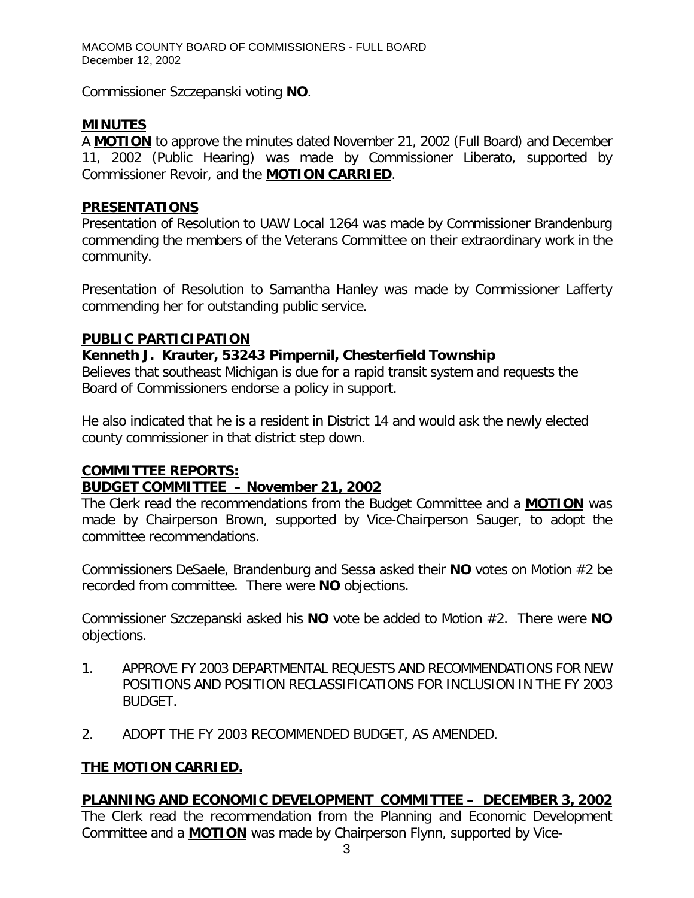Commissioner Szczepanski voting **NO**.

# **MINUTES**

A **MOTION** to approve the minutes dated November 21, 2002 (Full Board) and December 11, 2002 (Public Hearing) was made by Commissioner Liberato, supported by Commissioner Revoir, and the **MOTION CARRIED**.

# **PRESENTATIONS**

Presentation of Resolution to UAW Local 1264 was made by Commissioner Brandenburg commending the members of the Veterans Committee on their extraordinary work in the community.

Presentation of Resolution to Samantha Hanley was made by Commissioner Lafferty commending her for outstanding public service.

# **PUBLIC PARTICIPATION**

# *Kenneth J. Krauter, 53243 Pimpernil, Chesterfield Township*

Believes that southeast Michigan is due for a rapid transit system and requests the Board of Commissioners endorse a policy in support.

He also indicated that he is a resident in District 14 and would ask the newly elected county commissioner in that district step down.

# **COMMITTEE REPORTS:**

# *BUDGET COMMITTEE – November 21, 2002*

The Clerk read the recommendations from the Budget Committee and a **MOTION** was made by Chairperson Brown, supported by Vice-Chairperson Sauger, to adopt the committee recommendations.

Commissioners DeSaele, Brandenburg and Sessa asked their **NO** votes on Motion #2 be recorded from committee. There were **NO** objections.

Commissioner Szczepanski asked his **NO** vote be added to Motion #2. There were **NO** objections.

- 1. APPROVE FY 2003 DEPARTMENTAL REQUESTS AND RECOMMENDATIONS FOR NEW POSITIONS AND POSITION RECLASSIFICATIONS FOR INCLUSION IN THE FY 2003 BUDGET.
- 2. ADOPT THE FY 2003 RECOMMENDED BUDGET, AS AMENDED.

# **THE MOTION CARRIED.**

# *PLANNING AND ECONOMIC DEVELOPMENT COMMITTEE – DECEMBER 3, 2002*

The Clerk read the recommendation from the Planning and Economic Development Committee and a **MOTION** was made by Chairperson Flynn, supported by Vice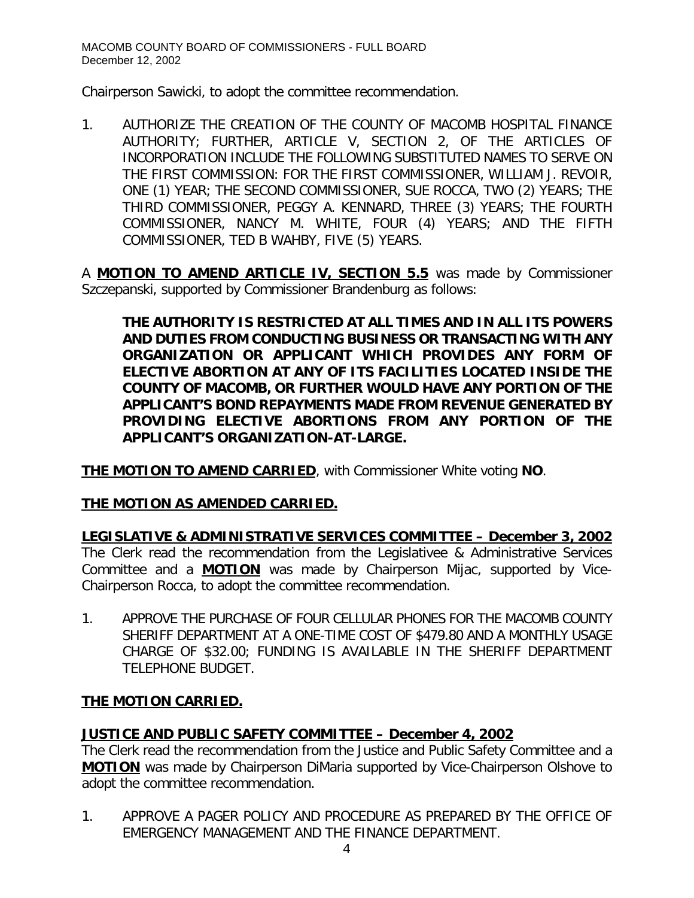Chairperson Sawicki, to adopt the committee recommendation.

1. AUTHORIZE THE CREATION OF THE COUNTY OF MACOMB HOSPITAL FINANCE AUTHORITY; FURTHER, ARTICLE V, SECTION 2, OF THE ARTICLES OF INCORPORATION INCLUDE THE FOLLOWING SUBSTITUTED NAMES TO SERVE ON THE FIRST COMMISSION: FOR THE FIRST COMMISSIONER, WILLIAM J. REVOIR, ONE (1) YEAR; THE SECOND COMMISSIONER, SUE ROCCA, TWO (2) YEARS; THE THIRD COMMISSIONER, PEGGY A. KENNARD, THREE (3) YEARS; THE FOURTH COMMISSIONER, NANCY M. WHITE, FOUR (4) YEARS; AND THE FIFTH COMMISSIONER, TED B WAHBY, FIVE (5) YEARS.

A **MOTION TO AMEND ARTICLE IV, SECTION 5.5** was made by Commissioner Szczepanski, supported by Commissioner Brandenburg as follows:

*THE AUTHORITY IS RESTRICTED AT ALL TIMES AND IN ALL ITS POWERS AND DUTIES FROM CONDUCTING BUSINESS OR TRANSACTING WITH ANY ORGANIZATION OR APPLICANT WHICH PROVIDES ANY FORM OF ELECTIVE ABORTION AT ANY OF ITS FACILITIES LOCATED INSIDE THE COUNTY OF MACOMB, OR FURTHER WOULD HAVE ANY PORTION OF THE APPLICANT'S BOND REPAYMENTS MADE FROM REVENUE GENERATED BY PROVIDING ELECTIVE ABORTIONS FROM ANY PORTION OF THE APPLICANT'S ORGANIZATION-AT-LARGE.*

**THE MOTION TO AMEND CARRIED**, with Commissioner White voting **NO**.

# **THE MOTION AS AMENDED CARRIED.**

*LEGISLATIVE & ADMINISTRATIVE SERVICES COMMITTEE – December 3, 2002* The Clerk read the recommendation from the Legislativee & Administrative Services Committee and a **MOTION** was made by Chairperson Mijac, supported by Vice-Chairperson Rocca, to adopt the committee recommendation.

1. APPROVE THE PURCHASE OF FOUR CELLULAR PHONES FOR THE MACOMB COUNTY SHERIFF DEPARTMENT AT A ONE-TIME COST OF \$479.80 AND A MONTHLY USAGE CHARGE OF \$32.00; FUNDING IS AVAILABLE IN THE SHERIFF DEPARTMENT TELEPHONE BUDGET.

# **THE MOTION CARRIED.**

# *JUSTICE AND PUBLIC SAFETY COMMITTEE – December 4, 2002*

The Clerk read the recommendation from the Justice and Public Safety Committee and a **MOTION** was made by Chairperson DiMaria supported by Vice-Chairperson Olshove to adopt the committee recommendation.

1. APPROVE A PAGER POLICY AND PROCEDURE AS PREPARED BY THE OFFICE OF EMERGENCY MANAGEMENT AND THE FINANCE DEPARTMENT.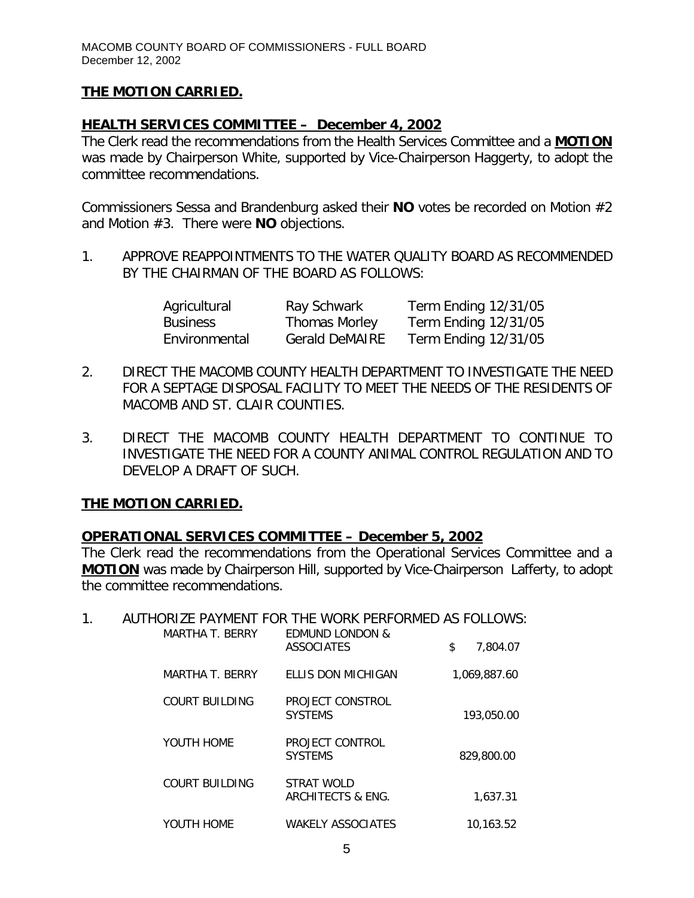# **THE MOTION CARRIED.**

### *HEALTH SERVICES COMMITTEE – December 4, 2002*

The Clerk read the recommendations from the Health Services Committee and a **MOTION** was made by Chairperson White, supported by Vice-Chairperson Haggerty, to adopt the committee recommendations.

Commissioners Sessa and Brandenburg asked their **NO** votes be recorded on Motion #2 and Motion #3. There were **NO** objections.

1. APPROVE REAPPOINTMENTS TO THE WATER QUALITY BOARD AS RECOMMENDED BY THE CHAIRMAN OF THE BOARD AS FOLLOWS:

| Agricultural    | Ray Schwark           | Term Ending 12/31/05 |
|-----------------|-----------------------|----------------------|
| <b>Business</b> | <b>Thomas Morley</b>  | Term Ending 12/31/05 |
| Environmental   | <b>Gerald DeMAIRE</b> | Term Ending 12/31/05 |

- 2. DIRECT THE MACOMB COUNTY HEALTH DEPARTMENT TO INVESTIGATE THE NEED FOR A SEPTAGE DISPOSAL FACILITY TO MEET THE NEEDS OF THE RESIDENTS OF MACOMB AND ST. CLAIR COUNTIES.
- 3. DIRECT THE MACOMB COUNTY HEALTH DEPARTMENT TO CONTINUE TO INVESTIGATE THE NEED FOR A COUNTY ANIMAL CONTROL REGULATION AND TO DEVELOP A DRAFT OF SUCH.

# **THE MOTION CARRIED.**

#### *OPERATIONAL SERVICES COMMITTEE – December 5, 2002*

The Clerk read the recommendations from the Operational Services Committee and a **MOTION** was made by Chairperson Hill, supported by Vice-Chairperson Lafferty, to adopt the committee recommendations.

#### 1. AUTHORIZE PAYMENT FOR THE WORK PERFORMED AS FOLLOWS:

| MARTHA T. BERRY | <b>EDMUND LONDON &amp;</b><br><b>ASSOCIATES</b> | \$<br>7.804.07 |
|-----------------|-------------------------------------------------|----------------|
| MARTHA T. BERRY | FILLS DON MICHIGAN                              | 1.069.887.60   |
| COURT BUILDING  | PROJECT CONSTROL<br><b>SYSTEMS</b>              | 193,050.00     |
| YOUTH HOME      | PROJECT CONTROL<br><b>SYSTEMS</b>               | 829,800.00     |
| COURT BUILDING  | STRAT WOLD<br>ARCHITECTS & ENG.                 | 1.637.31       |
| YOUTH HOME      | <b>WAKELY ASSOCIATES</b>                        | 10.163.52      |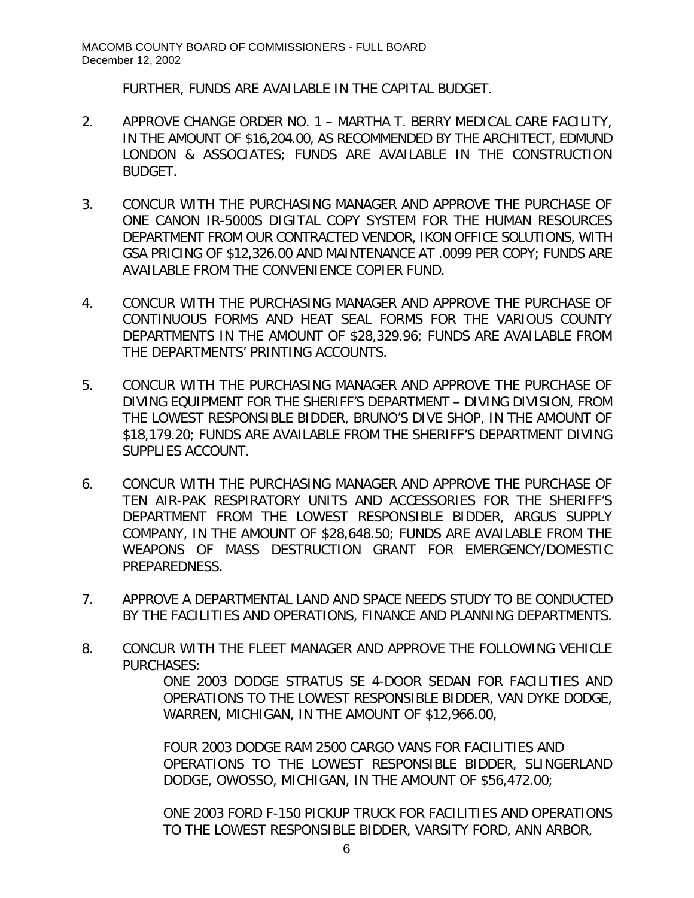FURTHER, FUNDS ARE AVAILABLE IN THE CAPITAL BUDGET.

- 2. APPROVE CHANGE ORDER NO. 1 MARTHA T. BERRY MEDICAL CARE FACILITY, IN THE AMOUNT OF \$16,204.00, AS RECOMMENDED BY THE ARCHITECT, EDMUND LONDON & ASSOCIATES; FUNDS ARE AVAILABLE IN THE CONSTRUCTION BUDGET.
- 3. CONCUR WITH THE PURCHASING MANAGER AND APPROVE THE PURCHASE OF ONE CANON IR-5000S DIGITAL COPY SYSTEM FOR THE HUMAN RESOURCES DEPARTMENT FROM OUR CONTRACTED VENDOR, IKON OFFICE SOLUTIONS, WITH GSA PRICING OF \$12,326.00 AND MAINTENANCE AT .0099 PER COPY; FUNDS ARE AVAILABLE FROM THE CONVENIENCE COPIER FUND.
- 4. CONCUR WITH THE PURCHASING MANAGER AND APPROVE THE PURCHASE OF CONTINUOUS FORMS AND HEAT SEAL FORMS FOR THE VARIOUS COUNTY DEPARTMENTS IN THE AMOUNT OF \$28,329.96; FUNDS ARE AVAILABLE FROM THE DEPARTMENTS' PRINTING ACCOUNTS.
- 5. CONCUR WITH THE PURCHASING MANAGER AND APPROVE THE PURCHASE OF DIVING EQUIPMENT FOR THE SHERIFF'S DEPARTMENT – DIVING DIVISION, FROM THE LOWEST RESPONSIBLE BIDDER, BRUNO'S DIVE SHOP, IN THE AMOUNT OF \$18,179.20; FUNDS ARE AVAILABLE FROM THE SHERIFF'S DEPARTMENT DIVING SUPPLIES ACCOUNT.
- 6. CONCUR WITH THE PURCHASING MANAGER AND APPROVE THE PURCHASE OF TEN AIR-PAK RESPIRATORY UNITS AND ACCESSORIES FOR THE SHERIFF'S DEPARTMENT FROM THE LOWEST RESPONSIBLE BIDDER, ARGUS SUPPLY COMPANY, IN THE AMOUNT OF \$28,648.50; FUNDS ARE AVAILABLE FROM THE WEAPONS OF MASS DESTRUCTION GRANT FOR EMERGENCY/DOMESTIC PREPAREDNESS.
- 7. APPROVE A DEPARTMENTAL LAND AND SPACE NEEDS STUDY TO BE CONDUCTED BY THE FACILITIES AND OPERATIONS, FINANCE AND PLANNING DEPARTMENTS.
- 8. CONCUR WITH THE FLEET MANAGER AND APPROVE THE FOLLOWING VEHICLE PURCHASES: ONE 2003 DODGE STRATUS SE 4-DOOR SEDAN FOR FACILITIES AND

OPERATIONS TO THE LOWEST RESPONSIBLE BIDDER, VAN DYKE DODGE, WARREN, MICHIGAN, IN THE AMOUNT OF \$12,966.00,

FOUR 2003 DODGE RAM 2500 CARGO VANS FOR FACILITIES AND OPERATIONS TO THE LOWEST RESPONSIBLE BIDDER, SLINGERLAND DODGE, OWOSSO, MICHIGAN, IN THE AMOUNT OF \$56,472.00;

ONE 2003 FORD F-150 PICKUP TRUCK FOR FACILITIES AND OPERATIONS TO THE LOWEST RESPONSIBLE BIDDER, VARSITY FORD, ANN ARBOR,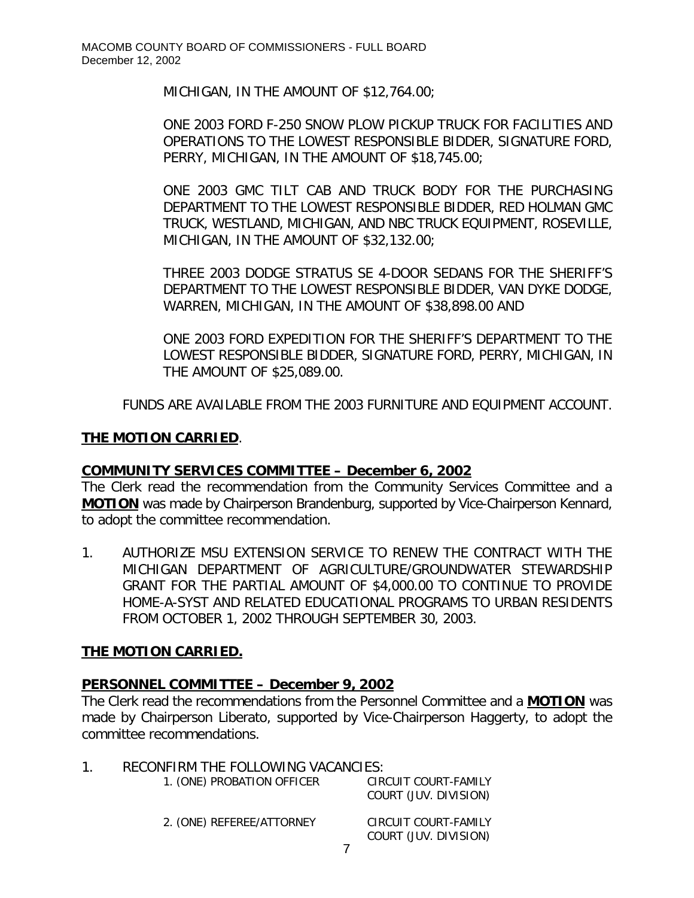MICHIGAN, IN THE AMOUNT OF \$12,764.00;

ONE 2003 FORD F-250 SNOW PLOW PICKUP TRUCK FOR FACILITIES AND OPERATIONS TO THE LOWEST RESPONSIBLE BIDDER, SIGNATURE FORD, PERRY, MICHIGAN, IN THE AMOUNT OF \$18,745.00;

ONE 2003 GMC TILT CAB AND TRUCK BODY FOR THE PURCHASING DEPARTMENT TO THE LOWEST RESPONSIBLE BIDDER, RED HOLMAN GMC TRUCK, WESTLAND, MICHIGAN, AND NBC TRUCK EQUIPMENT, ROSEVILLE, MICHIGAN, IN THE AMOUNT OF \$32,132.00;

THREE 2003 DODGE STRATUS SE 4-DOOR SEDANS FOR THE SHERIFF'S DEPARTMENT TO THE LOWEST RESPONSIBLE BIDDER, VAN DYKE DODGE, WARREN, MICHIGAN, IN THE AMOUNT OF \$38,898.00 AND

ONE 2003 FORD EXPEDITION FOR THE SHERIFF'S DEPARTMENT TO THE LOWEST RESPONSIBLE BIDDER, SIGNATURE FORD, PERRY, MICHIGAN, IN THE AMOUNT OF \$25,089.00.

FUNDS ARE AVAILABLE FROM THE 2003 FURNITURE AND EQUIPMENT ACCOUNT.

#### **THE MOTION CARRIED**.

#### *COMMUNITY SERVICES COMMITTEE – December 6, 2002*

The Clerk read the recommendation from the Community Services Committee and a **MOTION** was made by Chairperson Brandenburg, supported by Vice-Chairperson Kennard, to adopt the committee recommendation.

1. AUTHORIZE MSU EXTENSION SERVICE TO RENEW THE CONTRACT WITH THE MICHIGAN DEPARTMENT OF AGRICULTURE/GROUNDWATER STEWARDSHIP GRANT FOR THE PARTIAL AMOUNT OF \$4,000.00 TO CONTINUE TO PROVIDE HOME-A-SYST AND RELATED EDUCATIONAL PROGRAMS TO URBAN RESIDENTS FROM OCTOBER 1, 2002 THROUGH SEPTEMBER 30, 2003.

#### **THE MOTION CARRIED.**

#### *PERSONNEL COMMITTEE – December 9, 2002*

The Clerk read the recommendations from the Personnel Committee and a **MOTION** was made by Chairperson Liberato, supported by Vice-Chairperson Haggerty, to adopt the committee recommendations.

| 1 | RECONFIRM THE FOLLOWING VACANCIES: |                                               |  |
|---|------------------------------------|-----------------------------------------------|--|
|   | 1. (ONE) PROBATION OFFICER         | CIRCUIT COURT-FAMILY<br>COURT (JUV. DIVISION) |  |
|   | 2. (ONE) REFEREE/ATTORNEY          | CIRCUIT COURT-FAMILY<br>COURT (JUV. DIVISION) |  |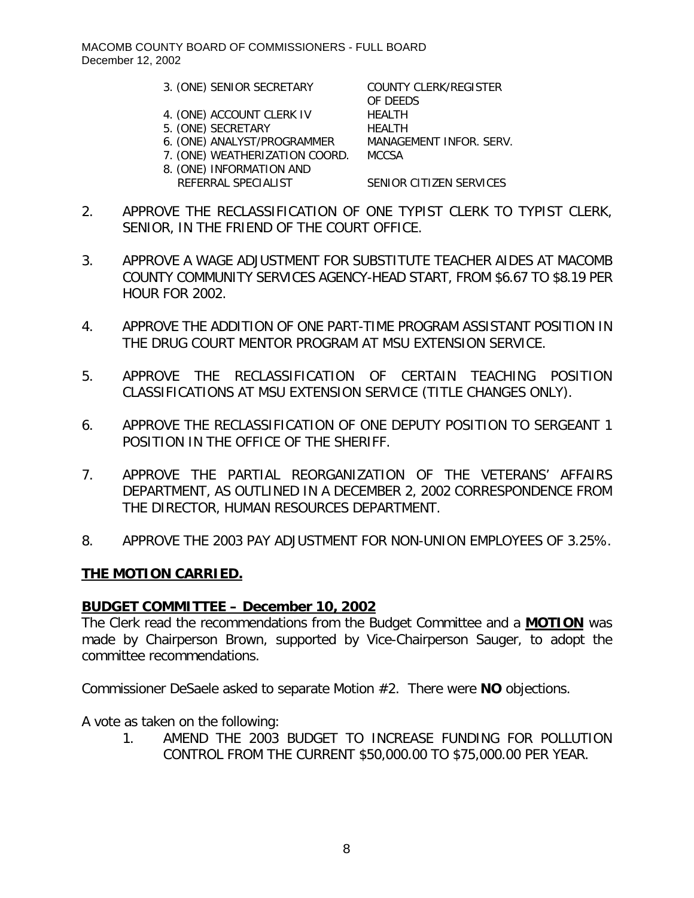- 3. (ONE) SENIOR SECRETARY COUNTY CLERK/REGISTER
- 4. (ONE) ACCOUNT CLERK IV HEALTH
- 5. (ONE) SECRETARY HEALTH
- 6. (ONE) ANALYST/PROGRAMMER MANAGEMENT INFOR. SERV.
- 7. (ONE) WEATHERIZATION COORD. MCCSA
- 8. (ONE) INFORMATION AND REFERRAL SPECIALIST SENIOR CITIZEN SERVICES

OF DEEDS

- 2. APPROVE THE RECLASSIFICATION OF ONE TYPIST CLERK TO TYPIST CLERK, SENIOR, IN THE FRIEND OF THE COURT OFFICE.
- 3. APPROVE A WAGE ADJUSTMENT FOR SUBSTITUTE TEACHER AIDES AT MACOMB COUNTY COMMUNITY SERVICES AGENCY-HEAD START, FROM \$6.67 TO \$8.19 PER HOUR FOR 2002.
- 4. APPROVE THE ADDITION OF ONE PART-TIME PROGRAM ASSISTANT POSITION IN THE DRUG COURT MENTOR PROGRAM AT MSU EXTENSION SERVICE.
- 5. APPROVE THE RECLASSIFICATION OF CERTAIN TEACHING POSITION CLASSIFICATIONS AT MSU EXTENSION SERVICE (TITLE CHANGES ONLY).
- 6. APPROVE THE RECLASSIFICATION OF ONE DEPUTY POSITION TO SERGEANT 1 POSITION IN THE OFFICE OF THE SHERIFF.
- 7. APPROVE THE PARTIAL REORGANIZATION OF THE VETERANS' AFFAIRS DEPARTMENT, AS OUTLINED IN A DECEMBER 2, 2002 CORRESPONDENCE FROM THE DIRECTOR, HUMAN RESOURCES DEPARTMENT.
- 8. APPROVE THE 2003 PAY ADJUSTMENT FOR NON-UNION EMPLOYEES OF 3.25%.

#### **THE MOTION CARRIED.**

#### *BUDGET COMMITTEE – December 10, 2002*

The Clerk read the recommendations from the Budget Committee and a **MOTION** was made by Chairperson Brown, supported by Vice-Chairperson Sauger, to adopt the committee recommendations.

Commissioner DeSaele asked to separate Motion #2. There were **NO** objections.

A vote as taken on the following:

1. AMEND THE 2003 BUDGET TO INCREASE FUNDING FOR POLLUTION CONTROL FROM THE CURRENT \$50,000.00 TO \$75,000.00 PER YEAR.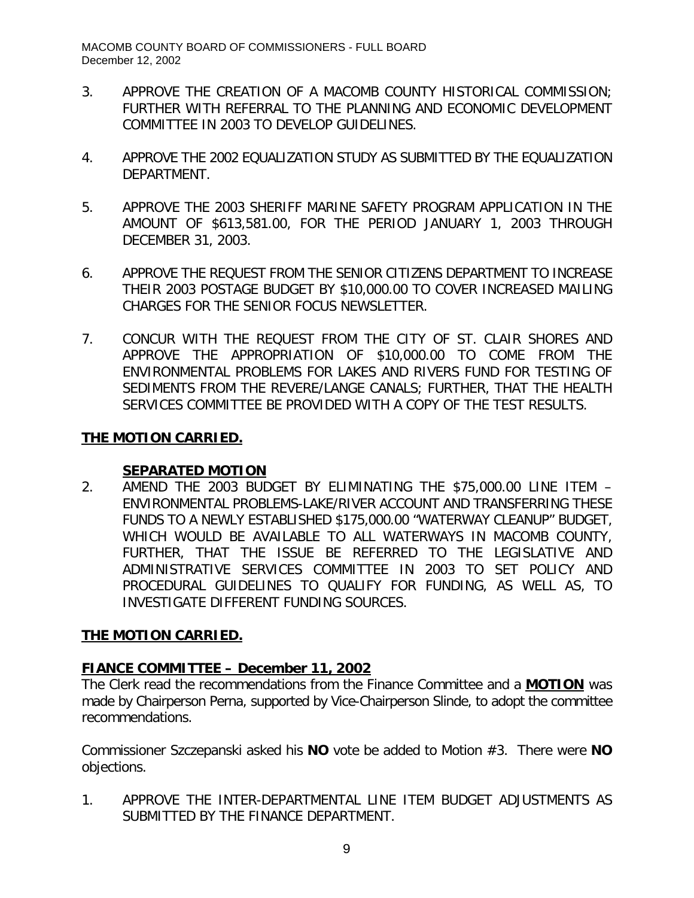- 3. APPROVE THE CREATION OF A MACOMB COUNTY HISTORICAL COMMISSION; FURTHER WITH REFERRAL TO THE PLANNING AND ECONOMIC DEVELOPMENT COMMITTEE IN 2003 TO DEVELOP GUIDELINES.
- 4. APPROVE THE 2002 EQUALIZATION STUDY AS SUBMITTED BY THE EQUALIZATION DEPARTMENT.
- 5. APPROVE THE 2003 SHERIFF MARINE SAFETY PROGRAM APPLICATION IN THE AMOUNT OF \$613,581.00, FOR THE PERIOD JANUARY 1, 2003 THROUGH DECEMBER 31, 2003.
- 6. APPROVE THE REQUEST FROM THE SENIOR CITIZENS DEPARTMENT TO INCREASE THEIR 2003 POSTAGE BUDGET BY \$10,000.00 TO COVER INCREASED MAILING CHARGES FOR THE SENIOR FOCUS NEWSLETTER.
- 7. CONCUR WITH THE REQUEST FROM THE CITY OF ST. CLAIR SHORES AND APPROVE THE APPROPRIATION OF \$10,000.00 TO COME FROM THE ENVIRONMENTAL PROBLEMS FOR LAKES AND RIVERS FUND FOR TESTING OF SEDIMENTS FROM THE REVERE/LANGE CANALS; FURTHER, THAT THE HEALTH SERVICES COMMITTEE BE PROVIDED WITH A COPY OF THE TEST RESULTS.

# **THE MOTION CARRIED.**

# **SEPARATED MOTION**

2. AMEND THE 2003 BUDGET BY ELIMINATING THE \$75,000.00 LINE ITEM – ENVIRONMENTAL PROBLEMS-LAKE/RIVER ACCOUNT AND TRANSFERRING THESE FUNDS TO A NEWLY ESTABLISHED \$175,000.00 "WATERWAY CLEANUP" BUDGET, WHICH WOULD BE AVAILABLE TO ALL WATERWAYS IN MACOMB COUNTY, FURTHER, THAT THE ISSUE BE REFERRED TO THE LEGISLATIVE AND ADMINISTRATIVE SERVICES COMMITTEE IN 2003 TO SET POLICY AND PROCEDURAL GUIDELINES TO QUALIFY FOR FUNDING, AS WELL AS, TO INVESTIGATE DIFFERENT FUNDING SOURCES.

# **THE MOTION CARRIED.**

# *FIANCE COMMITTEE – December 11, 2002*

The Clerk read the recommendations from the Finance Committee and a **MOTION** was made by Chairperson Perna, supported by Vice-Chairperson Slinde, to adopt the committee recommendations.

Commissioner Szczepanski asked his **NO** vote be added to Motion #3. There were **NO** objections.

1. APPROVE THE INTER-DEPARTMENTAL LINE ITEM BUDGET ADJUSTMENTS AS SUBMITTED BY THE FINANCE DEPARTMENT.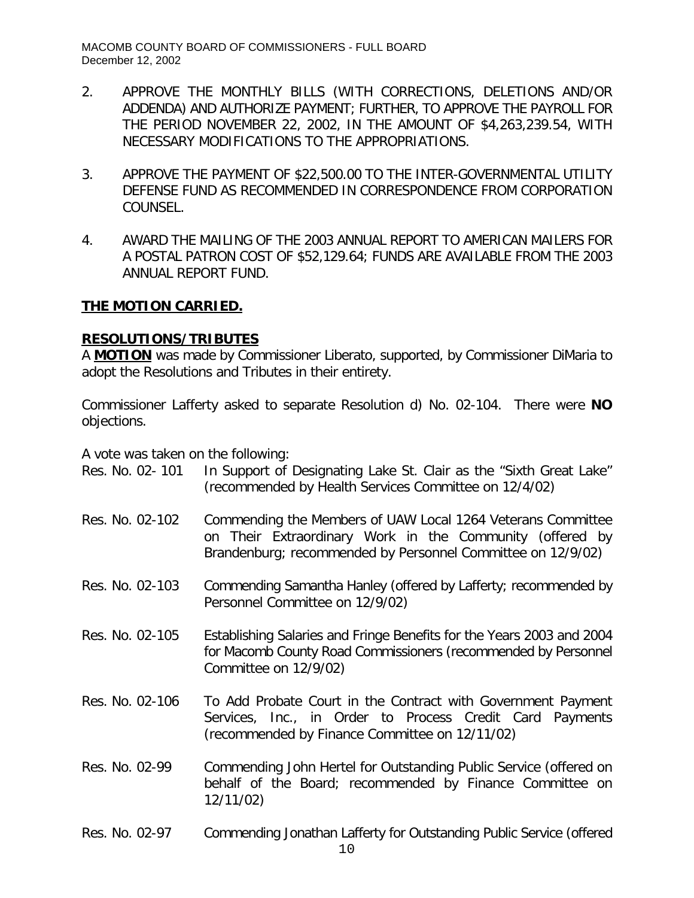- 2. APPROVE THE MONTHLY BILLS (WITH CORRECTIONS, DELETIONS AND/OR ADDENDA) AND AUTHORIZE PAYMENT; FURTHER, TO APPROVE THE PAYROLL FOR THE PERIOD NOVEMBER 22, 2002, IN THE AMOUNT OF \$4,263,239.54, WITH NECESSARY MODIFICATIONS TO THE APPROPRIATIONS.
- 3. APPROVE THE PAYMENT OF \$22,500.00 TO THE INTER-GOVERNMENTAL UTILITY DEFENSE FUND AS RECOMMENDED IN CORRESPONDENCE FROM CORPORATION COUNSEL.
- 4. AWARD THE MAILING OF THE 2003 ANNUAL REPORT TO AMERICAN MAILERS FOR A POSTAL PATRON COST OF \$52,129.64; FUNDS ARE AVAILABLE FROM THE 2003 ANNUAL REPORT FUND.

### **THE MOTION CARRIED.**

### **RESOLUTIONS/TRIBUTES**

A **MOTION** was made by Commissioner Liberato, supported, by Commissioner DiMaria to adopt the Resolutions and Tributes in their entirety.

Commissioner Lafferty asked to separate Resolution d) No. 02-104. There were **NO** objections.

A vote was taken on the following:

| Res. No. 02- 101 | In Support of Designating Lake St. Clair as the "Sixth Great Lake" |
|------------------|--------------------------------------------------------------------|
|                  | (recommended by Health Services Committee on 12/4/02)              |

- Res. No. 02-102 Commending the Members of UAW Local 1264 Veterans Committee on Their Extraordinary Work in the Community (offered by Brandenburg; recommended by Personnel Committee on 12/9/02)
- Res. No. 02-103 Commending Samantha Hanley (offered by Lafferty; recommended by Personnel Committee on 12/9/02)
- Res. No. 02-105 Establishing Salaries and Fringe Benefits for the Years 2003 and 2004 for Macomb County Road Commissioners (recommended by Personnel Committee on 12/9/02)
- Res. No. 02-106 To Add Probate Court in the Contract with Government Payment Services, Inc., in Order to Process Credit Card Payments (recommended by Finance Committee on 12/11/02)
- Res. No. 02-99 Commending John Hertel for Outstanding Public Service (offered on behalf of the Board; recommended by Finance Committee on 12/11/02)
- Res. No. 02-97 Commending Jonathan Lafferty for Outstanding Public Service (offered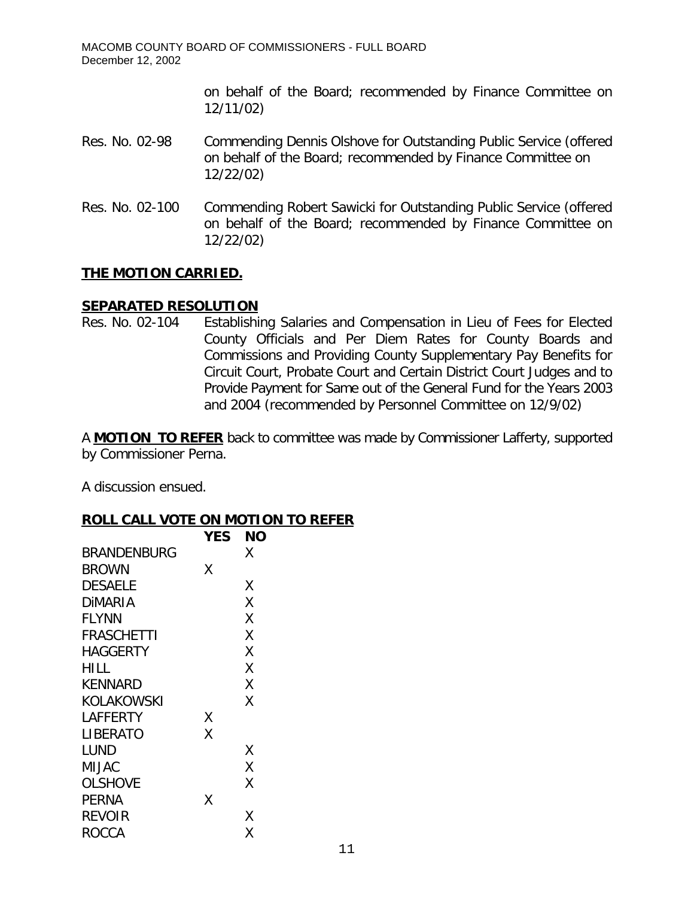on behalf of the Board; recommended by Finance Committee on 12/11/02)

### Res. No. 02-98 Commending Dennis Olshove for Outstanding Public Service (offered on behalf of the Board; recommended by Finance Committee on 12/22/02)

Res. No. 02-100 Commending Robert Sawicki for Outstanding Public Service (offered on behalf of the Board; recommended by Finance Committee on 12/22/02)

# **THE MOTION CARRIED.**

### **SEPARATED RESOLUTION**

Res. No. 02-104 Establishing Salaries and Compensation in Lieu of Fees for Elected County Officials and Per Diem Rates for County Boards and Commissions and Providing County Supplementary Pay Benefits for Circuit Court, Probate Court and Certain District Court Judges and to Provide Payment for Same out of the General Fund for the Years 2003 and 2004 (recommended by Personnel Committee on 12/9/02)

A **MOTION TO REFER** back to committee was made by Commissioner Lafferty, supported by Commissioner Perna.

A discussion ensued.

#### **ROLL CALL VOTE ON MOTION TO REFER**

|                   | <b>YES</b> | <b>NO</b> |
|-------------------|------------|-----------|
| BRANDENBURG       |            | Χ         |
| <b>BROWN</b>      | X          |           |
| <b>DESAELE</b>    |            | Χ         |
| <b>DIMARIA</b>    |            | Χ         |
| <b>FLYNN</b>      |            | Χ         |
| <b>FRASCHETTI</b> |            | Χ         |
| <b>HAGGERTY</b>   |            | Χ         |
| <b>HILL</b>       |            | Χ         |
| <b>KENNARD</b>    |            | Χ         |
| KOLAKOWSKI        |            | Χ         |
| LAFFERTY          | Х          |           |
| LIBERATO          | Χ          |           |
| LUND              |            | Χ         |
| MIJAC             |            | Χ         |
| <b>OLSHOVE</b>    |            | Χ         |
| PERNA             | Χ          |           |
| <b>REVOIR</b>     |            | Χ         |
| ROCCA             |            | Χ         |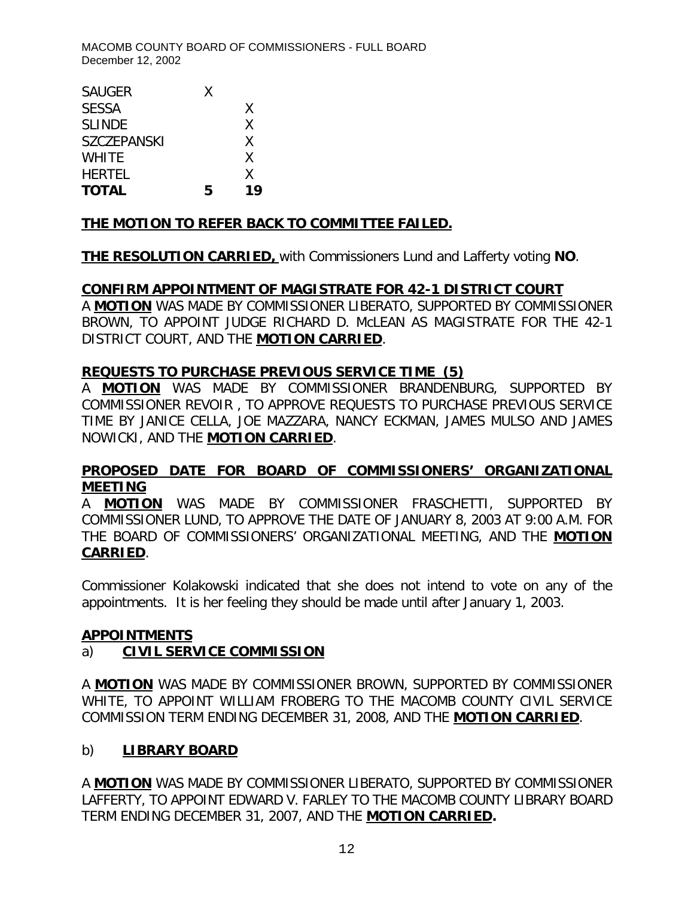MACOMB COUNTY BOARD OF COMMISSIONERS - FULL BOARD December 12, 2002

| <b>TOTAL</b>       | б, | 19 |
|--------------------|----|----|
| <b>HERTEL</b>      |    | X  |
| <b>WHITE</b>       |    | Χ  |
| <b>SZCZEPANSKI</b> |    | Χ  |
| <b>SLINDE</b>      |    | Χ  |
| <b>SESSA</b>       |    | Χ  |
| <b>SAUGER</b>      | X  |    |
|                    |    |    |

# **THE MOTION TO REFER BACK TO COMMITTEE FAILED.**

**THE RESOLUTION CARRIED,** with Commissioners Lund and Lafferty voting **NO**.

#### **CONFIRM APPOINTMENT OF MAGISTRATE FOR 42-1 DISTRICT COURT**

A **MOTION** WAS MADE BY COMMISSIONER LIBERATO, SUPPORTED BY COMMISSIONER BROWN, TO APPOINT JUDGE RICHARD D. McLEAN AS MAGISTRATE FOR THE 42-1 DISTRICT COURT, AND THE **MOTION CARRIED**.

### **REQUESTS TO PURCHASE PREVIOUS SERVICE TIME (5)**

A **MOTION** WAS MADE BY COMMISSIONER BRANDENBURG, SUPPORTED BY COMMISSIONER REVOIR , TO APPROVE REQUESTS TO PURCHASE PREVIOUS SERVICE TIME BY JANICE CELLA, JOE MAZZARA, NANCY ECKMAN, JAMES MULSO AND JAMES NOWICKI, AND THE **MOTION CARRIED**.

# **PROPOSED DATE FOR BOARD OF COMMISSIONERS' ORGANIZATIONAL MEETING**

A **MOTION** WAS MADE BY COMMISSIONER FRASCHETTI, SUPPORTED BY COMMISSIONER LUND, TO APPROVE THE DATE OF JANUARY 8, 2003 AT 9:00 A.M. FOR THE BOARD OF COMMISSIONERS' ORGANIZATIONAL MEETING, AND THE **MOTION CARRIED**.

*Commissioner Kolakowski indicated that she does not intend to vote on any of the appointments. It is her feeling they should be made until after January 1, 2003.*

#### **APPOINTMENTS**

# a) **CIVIL SERVICE COMMISSION**

A **MOTION** WAS MADE BY COMMISSIONER BROWN, SUPPORTED BY COMMISSIONER WHITE, TO APPOINT WILLIAM FROBERG TO THE MACOMB COUNTY CIVIL SERVICE COMMISSION TERM ENDING DECEMBER 31, 2008, AND THE **MOTION CARRIED**.

# b) **LIBRARY BOARD**

A **MOTION** WAS MADE BY COMMISSIONER LIBERATO, SUPPORTED BY COMMISSIONER LAFFERTY, TO APPOINT EDWARD V. FARLEY TO THE MACOMB COUNTY LIBRARY BOARD TERM ENDING DECEMBER 31, 2007, AND THE **MOTION CARRIED.**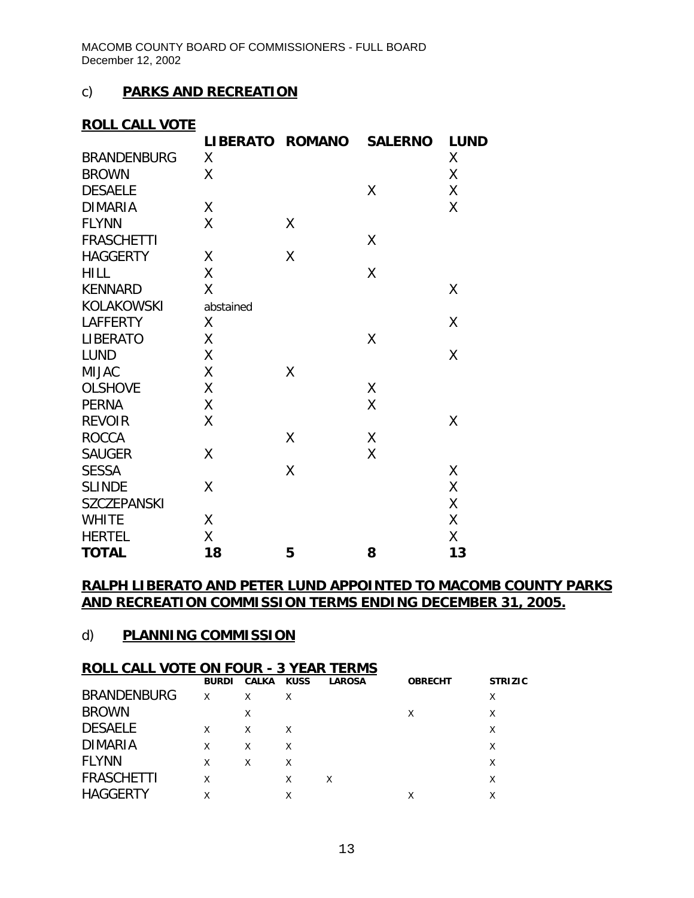### c) **PARKS AND RECREATION**

### **ROLL CALL VOTE**

|                    | LIBERATO ROMANO |   | <b>SALERNO</b> | <b>LUND</b> |
|--------------------|-----------------|---|----------------|-------------|
| <b>BRANDENBURG</b> | X               |   |                | χ           |
| <b>BROWN</b>       | X               |   |                | Χ           |
| <b>DESAELE</b>     |                 |   | Χ              | X           |
| <b>DIMARIA</b>     | Χ               |   |                | X           |
| <b>FLYNN</b>       | X               | X |                |             |
| <b>FRASCHETTI</b>  |                 |   | Χ              |             |
| <b>HAGGERTY</b>    | Χ               | Χ |                |             |
| <b>HILL</b>        | Χ               |   | Χ              |             |
| <b>KENNARD</b>     | Χ               |   |                | Χ           |
| KOLAKOWSKI         | abstained       |   |                |             |
| <b>LAFFERTY</b>    | X               |   |                | Χ           |
| <b>LIBERATO</b>    | Χ               |   | Χ              |             |
| <b>LUND</b>        | Χ               |   |                | X           |
| <b>MIJAC</b>       | Χ               | Χ |                |             |
| <b>OLSHOVE</b>     | Χ               |   | χ              |             |
| <b>PERNA</b>       | χ               |   | Χ              |             |
| <b>REVOIR</b>      | Χ               |   |                | Χ           |
| <b>ROCCA</b>       |                 | X | Χ              |             |
| <b>SAUGER</b>      | Χ               |   | Χ              |             |
| <b>SESSA</b>       |                 | Χ |                | χ           |
| <b>SLINDE</b>      | Χ               |   |                | Χ           |
| <b>SZCZEPANSKI</b> |                 |   |                | X           |
| <b>WHITE</b>       | Χ               |   |                | Χ           |
| <b>HERTEL</b>      | Χ               |   |                | χ           |
| <b>TOTAL</b>       | 18              | 5 | 8              | 13          |

### **RALPH LIBERATO AND PETER LUND APPOINTED TO MACOMB COUNTY PARKS AND RECREATION COMMISSION TERMS ENDING DECEMBER 31, 2005.**

#### d) **PLANNING COMMISSION**

#### **ROLL CALL VOTE ON FOUR - 3 YEAR TERMS**

|                    | <b>BURDI</b> | CALKA KUSS |   | <b>LAROSA</b> | <b>OBRECHT</b> | <b>STRIZIC</b> |
|--------------------|--------------|------------|---|---------------|----------------|----------------|
| <b>BRANDENBURG</b> | X            | X          | X |               |                | X              |
| <b>BROWN</b>       |              | X          |   |               | χ              | Χ              |
| <b>DESAELE</b>     | X            | X          | X |               |                | Χ              |
| <b>DIMARIA</b>     | X            | X          | X |               |                | Χ              |
| <b>FLYNN</b>       | Χ            | X          | X |               |                |                |
| <b>FRASCHETTI</b>  | Χ            |            | Χ | X             |                |                |
| <b>HAGGERTY</b>    |              |            | Χ |               | Χ              |                |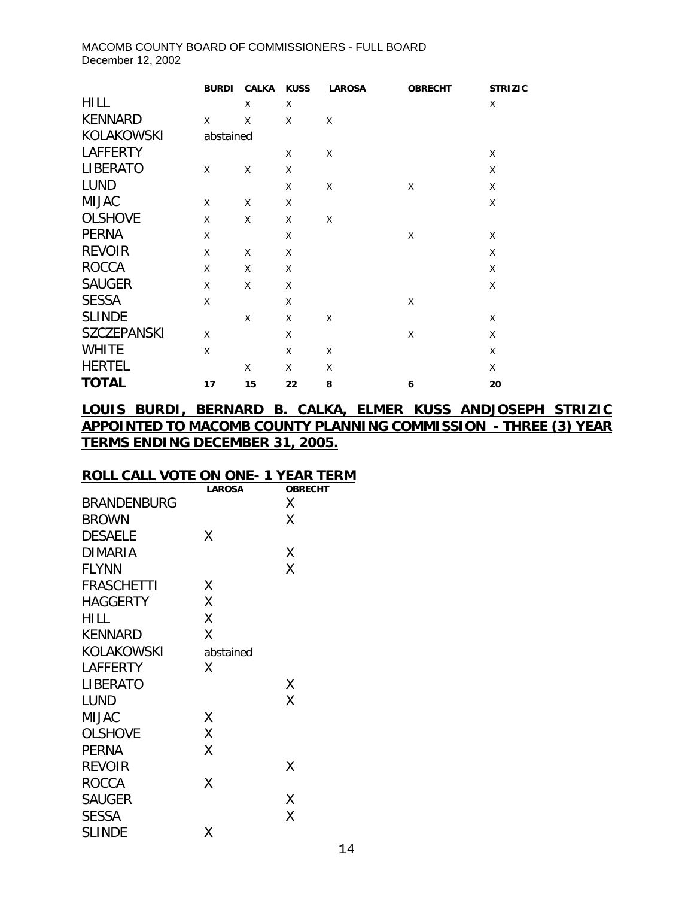#### MACOMB COUNTY BOARD OF COMMISSIONERS - FULL BOARD December 12, 2002

|                    | <b>BURDI</b> | <b>CALKA</b> | <b>KUSS</b> | <b>LAROSA</b> | <b>OBRECHT</b> | <b>STRIZIC</b> |
|--------------------|--------------|--------------|-------------|---------------|----------------|----------------|
| <b>HILL</b>        |              | X            | X           |               |                | X              |
| <b>KENNARD</b>     | X            | X            | X           | X             |                |                |
| KOLAKOWSKI         | abstained    |              |             |               |                |                |
| <b>LAFFERTY</b>    |              |              | X           | X             |                | X              |
| <b>LIBERATO</b>    | X            | X            | X           |               |                | X              |
| <b>LUND</b>        |              |              | X           | X             | X              | X              |
| <b>MIJAC</b>       | X            | X            | X           |               |                | X              |
| <b>OLSHOVE</b>     | X            | X            | X           | X             |                |                |
| <b>PERNA</b>       | X            |              | X           |               | X              | X              |
| <b>REVOIR</b>      | X            | X            | X           |               |                | X              |
| <b>ROCCA</b>       | X            | X            | X           |               |                | X              |
| <b>SAUGER</b>      | X            | X            | X           |               |                | X              |
| <b>SESSA</b>       | X            |              | X           |               | X              |                |
| <b>SLINDE</b>      |              | X            | X           | X             |                | X              |
| <b>SZCZEPANSKI</b> | X            |              | X           |               | X              | X              |
| <b>WHITE</b>       | X            |              | X           | X             |                | X              |
| <b>HERTEL</b>      |              | X            | X           | X             |                | X              |
| <b>TOTAL</b>       | 17           | 15           | 22          | 8             | 6              | 20             |

# **LOUIS BURDI, BERNARD B. CALKA, ELMER KUSS ANDJOSEPH STRIZIC APPOINTED TO MACOMB COUNTY PLANNING COMMISSION - THREE (3) YEAR TERMS ENDING DECEMBER 31, 2005.**

#### **ROLL CALL VOTE ON ONE- 1 YEAR TERM**

|                    | <b>LAROSA</b> | <b>OBRECHT</b> |
|--------------------|---------------|----------------|
| <b>BRANDENBURG</b> |               | X              |
| <b>BROWN</b>       |               | χ              |
| <b>DESAELE</b>     | Χ             |                |
| <b>DIMARIA</b>     |               | Χ              |
| <b>FLYNN</b>       |               | Χ              |
| <b>FRASCHETTI</b>  | Χ             |                |
| <b>HAGGERTY</b>    | Χ             |                |
| HILL               | Χ             |                |
| <b>KENNARD</b>     | Χ             |                |
| KOLAKOWSKI         | abstained     |                |
| LAFFERTY           | Χ             |                |
| LIBERATO           |               | Χ              |
| <b>LUND</b>        |               | Χ              |
| MIJAC              | Χ             |                |
| <b>OLSHOVE</b>     | Χ             |                |
| PERNA              | Χ             |                |
| <b>REVOIR</b>      |               | Χ              |
| <b>ROCCA</b>       | Χ             |                |
| <b>SAUGER</b>      |               | Χ              |
| <b>SESSA</b>       |               | Χ              |
| <b>SLINDE</b>      | Χ             |                |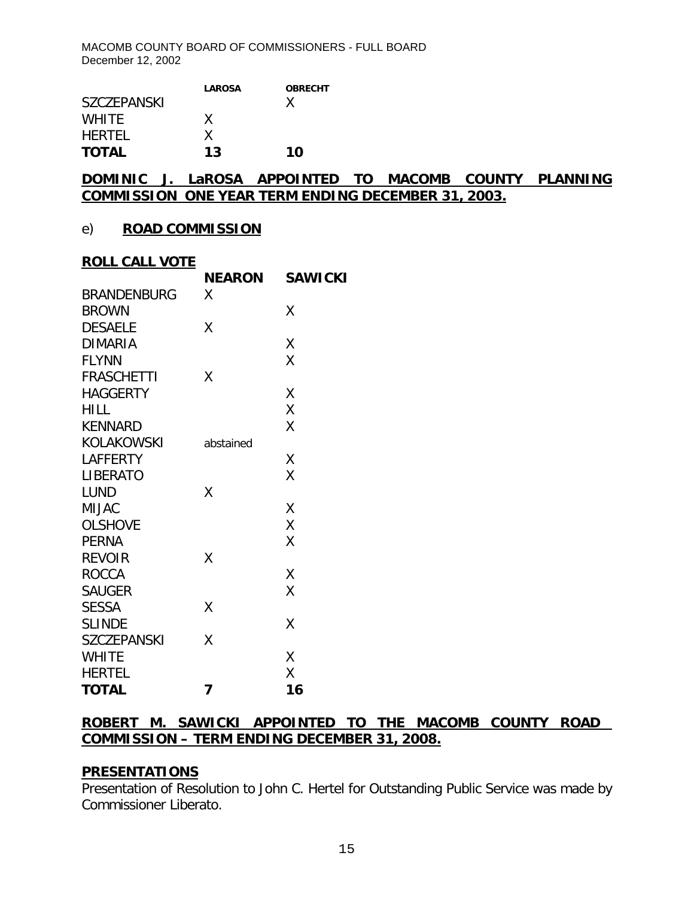|                    | <b>LAROSA</b> | <b>OBRECHT</b> |
|--------------------|---------------|----------------|
| <b>SZCZEPANSKI</b> |               | x              |
| <b>WHITE</b>       | x             |                |
| <b>HERTEL</b>      | x             |                |
| <b>TOTAL</b>       | 13            | 10             |

# **DOMINIC J. LaROSA APPOINTED TO MACOMB COUNTY PLANNING COMMISSION ONE YEAR TERM ENDING DECEMBER 31, 2003.**

#### e) **ROAD COMMISSION**

#### **ROLL CALL VOTE**

| <u>RULL CALL VUTE</u> |               |                |
|-----------------------|---------------|----------------|
|                       | <b>NEARON</b> | <b>SAWICKI</b> |
| <b>BRANDENBURG</b>    | X             |                |
| <b>BROWN</b>          |               | Χ              |
| <b>DESAELE</b>        | Χ             |                |
| <b>DIMARIA</b>        |               | Χ              |
| <b>FLYNN</b>          |               | Χ              |
| <b>FRASCHETTI</b>     | X             |                |
| <b>HAGGERTY</b>       |               | Χ              |
| <b>HILL</b>           |               | Χ              |
| <b>KENNARD</b>        |               | Χ              |
| <b>KOLAKOWSKI</b>     | abstained     |                |
| <b>LAFFERTY</b>       |               | Χ              |
| <b>LIBERATO</b>       |               | X              |
| <b>LUND</b>           | Χ             |                |
| <b>MIJAC</b>          |               | X              |
| <b>OLSHOVE</b>        |               | X              |
| <b>PERNA</b>          |               | Χ              |
| <b>REVOIR</b>         | Χ             |                |
| <b>ROCCA</b>          |               | Χ              |
| <b>SAUGER</b>         |               | Χ              |
| <b>SESSA</b>          | Χ             |                |
| <b>SLINDE</b>         |               | Χ              |
| <b>SZCZEPANSKI</b>    | Χ             |                |
| <b>WHITE</b>          |               | Χ              |
| <b>HERTEL</b>         |               | Χ              |
| <b>TOTAL</b>          | 7             | 16             |

#### **ROBERT M. SAWICKI APPOINTED TO THE MACOMB COUNTY ROAD COMMISSION – TERM ENDING DECEMBER 31, 2008.**

#### **PRESENTATIONS**

Presentation of Resolution to John C. Hertel for Outstanding Public Service was made by Commissioner Liberato.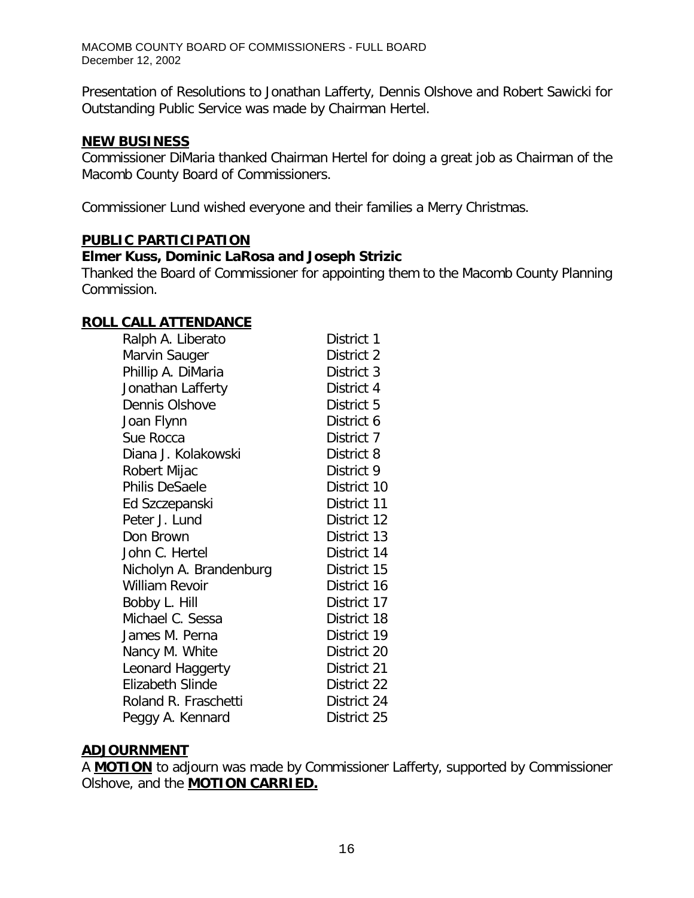Presentation of Resolutions to Jonathan Lafferty, Dennis Olshove and Robert Sawicki for Outstanding Public Service was made by Chairman Hertel.

#### **NEW BUSINESS**

Commissioner DiMaria thanked Chairman Hertel for doing a great job as Chairman of the Macomb County Board of Commissioners.

Commissioner Lund wished everyone and their families a Merry Christmas.

### **PUBLIC PARTICIPATION**

### *Elmer Kuss, Dominic LaRosa and Joseph Strizic*

Thanked the Board of Commissioner for appointing them to the Macomb County Planning Commission.

### **ROLL CALL ATTENDANCE**

| Ralph A. Liberato       | District 1  |
|-------------------------|-------------|
| Marvin Sauger           | District 2  |
| Phillip A. DiMaria      | District 3  |
| Jonathan Lafferty       | District 4  |
| Dennis Olshove          | District 5  |
| Joan Flynn              | District 6  |
| Sue Rocca               | District 7  |
| Diana J. Kolakowski     | District 8  |
| Robert Mijac            | District 9  |
| Philis DeSaele          | District 10 |
| Ed Szczepanski          | District 11 |
| Peter J. Lund           | District 12 |
| Don Brown               | District 13 |
| John C. Hertel          | District 14 |
| Nicholyn A. Brandenburg | District 15 |
| William Revoir          | District 16 |
| Bobby L. Hill           | District 17 |
| Michael C. Sessa        | District 18 |
| James M. Perna          | District 19 |
| Nancy M. White          | District 20 |
| Leonard Haggerty        | District 21 |
| Elizabeth Slinde        | District 22 |
| Roland R. Fraschetti    | District 24 |
| Peggy A. Kennard        | District 25 |

#### **ADJOURNMENT**

A **MOTION** to adjourn was made by Commissioner Lafferty, supported by Commissioner Olshove, and the **MOTION CARRIED.**